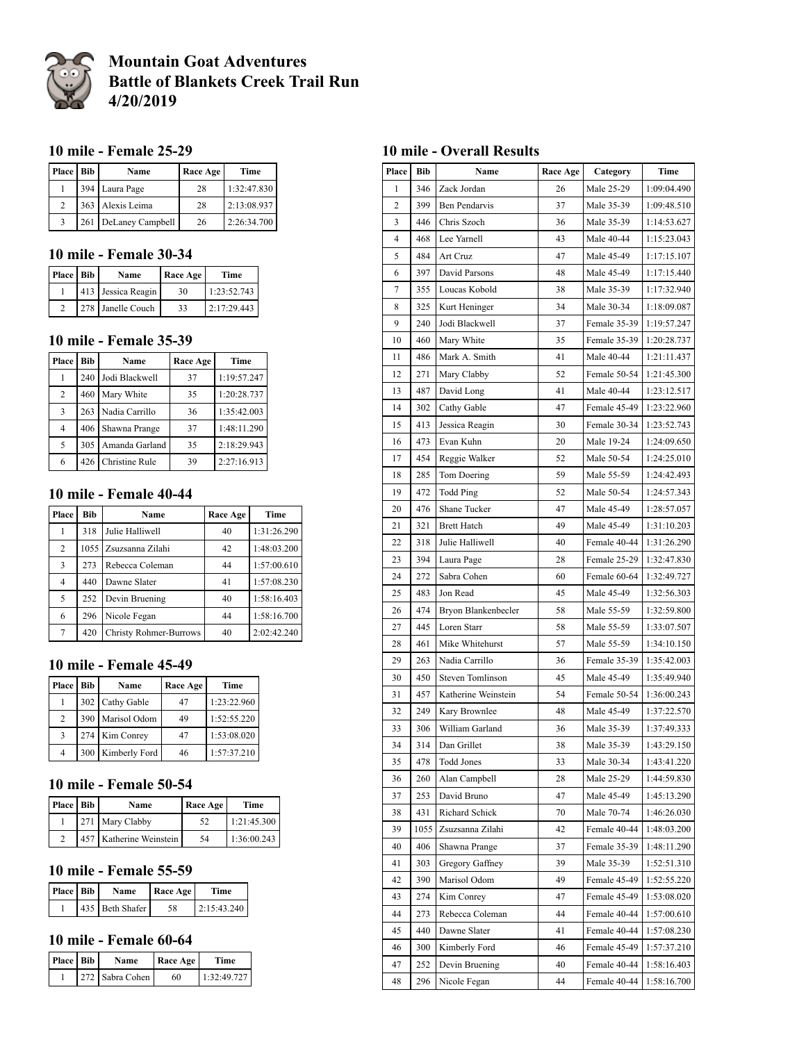

# **Mountain Goat Adventures Battle of Blankets Creek Trail Run 4/20/2019**

#### **10 mile - Female 25-29**

| <b>Place</b>   | <b>Bib</b> | Name             | Race Age | Time        |
|----------------|------------|------------------|----------|-------------|
|                |            | 394 Laura Page   | 28       | 1:32:47.830 |
| $\mathfrak{D}$ |            | 363 Alexis Leima | 28       | 2:13:08.937 |
|                | 261        | DeLaney Campbell | 26       | 2:26:34.700 |

## **10 mile - Female 30-34**

| Place Bib | Name               | Race Age | Time        |
|-----------|--------------------|----------|-------------|
|           | 413 Jessica Reagin | 30       | 1:23:52.743 |
|           | 278 Janelle Couch  | 33       | 2:17:29.443 |

# **10 mile - Female 35-39**

| Place  | Bib | Name           | Race Age | Time        |
|--------|-----|----------------|----------|-------------|
|        | 240 | Jodi Blackwell | 37       | 1:19:57.247 |
| 2      | 460 | Mary White     | 35       | 1:20:28.737 |
| 3      | 263 | Nadia Carrillo | 36       | 1:35:42.003 |
| 4      | 406 | Shawna Prange  | 37       | 1:48:11.290 |
| $\sim$ | 305 | Amanda Garland | 35       | 2:18:29.943 |
| 6      | 426 | Christine Rule | 39       | 2:27:16.913 |

#### **10 mile - Female 40-44**

| Place          | <b>Bib</b> | Name                          | Race Age | Time        |
|----------------|------------|-------------------------------|----------|-------------|
|                | 318        | Julie Halliwell               | 40       | 1:31:26.290 |
| $\overline{c}$ |            | 1055 Zsuzsanna Zilahi         | 42       | 1:48:03.200 |
| 3              | 273        | Rebecca Coleman               | 44       | 1:57:00.610 |
| 4              | 440        | Dawne Slater                  | 41       | 1:57:08.230 |
| 5              | 252        | Devin Bruening                | 40       | 1:58:16.403 |
| 6              | 296        | Nicole Fegan                  | 44       | 1:58:16.700 |
| 7              | 420        | <b>Christy Rohmer-Burrows</b> | 40       | 2:02:42.240 |

#### **10 mile - Female 45-49**

| Place          | Bib | Name              | Race Age | Time        |
|----------------|-----|-------------------|----------|-------------|
|                |     | 302 Cathy Gable   | 47       | 1:23:22.960 |
| 2              |     | 390 Marisol Odom  | 49       | 1:52:55.220 |
| $\mathcal{R}$  |     | 274 Kim Conrey    | 47       | 1:53:08.020 |
| $\overline{4}$ |     | 300 Kimberly Ford | 46       | 1:57:37.210 |

# **10 mile - Female 50-54**

| Place Bib     | Name                    | Race Age | Time        |
|---------------|-------------------------|----------|-------------|
|               | 271 Mary Clabby         | 52       | 1:21:45.300 |
| $\mathcal{D}$ | 457 Katherine Weinstein | 54       | 1:36:00.243 |

## **10 mile - Female 55-59**

| Place Bib | Name            | <b>Race Age</b> | Time        |
|-----------|-----------------|-----------------|-------------|
|           | 435 Beth Shafer | 58              | 2:15:43.240 |

# **10 mile - Female 60-64**

| <b>Place</b> Bib | Name            | Race Age | <b>Time</b> |
|------------------|-----------------|----------|-------------|
|                  | 272 Sabra Cohen | 60       | 1:32:49.727 |

# **10 mile - Overall Results**

| Place          | Bib  | Name                    | <b>Race Age</b><br>Category |              | Time        |
|----------------|------|-------------------------|-----------------------------|--------------|-------------|
| 1              | 346  | Zack Jordan             | 26                          | Male 25-29   | 1:09:04.490 |
| $\overline{c}$ | 399  | <b>Ben Pendarvis</b>    | 37                          | Male 35-39   | 1:09:48.510 |
| 3              | 446  | Chris Szoch             | 36                          | Male 35-39   | 1:14:53.627 |
| 4              | 468  | Lee Yarnell             | 43                          | Male 40-44   | 1:15:23.043 |
| 5              | 484  | Art Cruz                | 47                          | Male 45-49   | 1:17:15.107 |
| 6              | 397  | David Parsons           | 48                          | Male 45-49   | 1:17:15.440 |
| 7              | 355  | Loucas Kobold           | 38                          | Male 35-39   | 1:17:32.940 |
| 8              | 325  | Kurt Heninger           | 34                          | Male 30-34   | 1:18:09.087 |
| 9              | 240  | Jodi Blackwell          | 37                          | Female 35-39 | 1:19:57.247 |
| 10             | 460  | Mary White              | 35                          | Female 35-39 | 1:20:28.737 |
| 11             | 486  | Mark A. Smith           | 41                          | Male 40-44   | 1:21:11.437 |
| 12             | 271  | Mary Clabby             | 52                          | Female 50-54 | 1:21:45.300 |
| 13             | 487  | David Long              | 41                          | Male 40-44   | 1:23:12.517 |
| 14             | 302  | Cathy Gable             | 47                          | Female 45-49 | 1:23:22.960 |
| 15             | 413  | Jessica Reagin          | 30                          | Female 30-34 | 1:23:52.743 |
| 16             | 473  | Evan Kuhn               | 20                          | Male 19-24   | 1:24:09.650 |
| 17             | 454  | Reggie Walker           | 52                          | Male 50-54   | 1:24:25.010 |
| 18             | 285  | Tom Doering             | 59                          | Male 55-59   | 1:24:42.493 |
| 19             | 472  | Todd Ping               | 52                          | Male 50-54   | 1:24:57.343 |
| 20             | 476  | Shane Tucker            | 47                          | Male 45-49   | 1:28:57.057 |
| 21             | 321  | <b>Brett Hatch</b>      | 49                          | Male 45-49   | 1:31:10.203 |
| 22             | 318  | Julie Halliwell         | 40                          | Female 40-44 | 1:31:26.290 |
| 23             | 394  | Laura Page              | 28                          | Female 25-29 | 1:32:47.830 |
| 24             | 272  | Sabra Cohen             | 60                          | Female 60-64 | 1:32:49.727 |
| 25             | 483  | Jon Read                | 45                          | Male 45-49   | 1:32:56.303 |
| 26             | 474  | Bryon Blankenbecler     | 58                          | Male 55-59   | 1:32:59.800 |
| 27             | 445  | Loren Starr             | 58                          | Male 55-59   | 1:33:07.507 |
| 28             | 461  | Mike Whitehurst         | 57                          | Male 55-59   | 1:34:10.150 |
| 29             | 263  | Nadia Carrillo          | 36                          | Female 35-39 | 1:35:42.003 |
| 30             | 450  | <b>Steven Tomlinson</b> | 45                          | Male 45-49   | 1:35:49.940 |
| 31             | 457  | Katherine Weinstein     | 54                          | Female 50-54 | 1:36:00.243 |
| 32             | 249  | Kary Brownlee           | 48                          | Male 45-49   | 1:37:22.570 |
| 33             | 306  | William Garland         | 36                          | Male 35-39   | 1:37:49.333 |
| 34             | 314  | Dan Grillet             | 38                          | Male 35-39   | 1:43:29.150 |
| 35             | 478  | Todd Jones              | 33                          | Male 30-34   | 1:43:41.220 |
| 36             | 260  | Alan Campbell           | 28                          | Male 25-29   | 1:44:59.830 |
| 37             | 253  | David Bruno             | 47                          | Male 45-49   | 1:45:13.290 |
| 38             | 431  | Richard Schick          | 70                          | Male 70-74   | 1:46:26.030 |
| 39             | 1055 | Zsuzsanna Zilahi        | 42                          | Female 40-44 | 1:48:03.200 |
| 40             | 406  | Shawna Prange           | 37                          | Female 35-39 | 1:48:11.290 |
| 41             | 303  | Gregory Gaffney         | 39                          | Male 35-39   | 1:52:51.310 |
| 42             | 390  | Marisol Odom            | 49                          | Female 45-49 | 1:52:55.220 |
| 43             | 274  | Kim Conrey              | 47                          | Female 45-49 | 1:53:08.020 |
| 44             | 273  | Rebecca Coleman         | 44                          | Female 40-44 | 1:57:00.610 |
| 45             | 440  | Dawne Slater            | 41                          | Female 40-44 | 1:57:08.230 |
| 46             | 300  | Kimberly Ford           | 46                          | Female 45-49 | 1:57:37.210 |
| 47             | 252  | Devin Bruening          | 40                          | Female 40-44 | 1:58:16.403 |
| 48             | 296  | Nicole Fegan            | 44                          | Female 40-44 | 1:58:16.700 |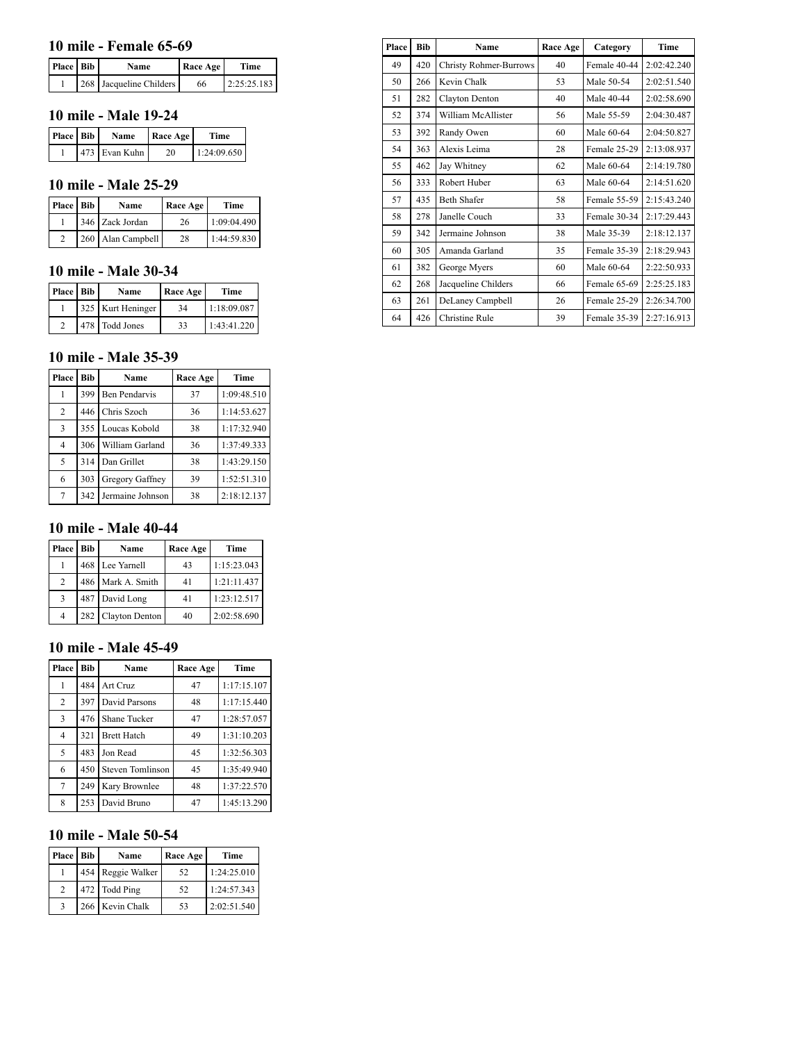#### **10 mile - Female 65-69**

| <b>Place Bib</b> | Name                    | <b>Race Age</b> | Time        |
|------------------|-------------------------|-----------------|-------------|
|                  | 268 Jacqueline Childers | 66              | 2:25:25.183 |

#### **10 mile - Male 19-24**

| Place Bib | <b>Name</b>   | Race Age | Time        |
|-----------|---------------|----------|-------------|
|           | 473 Evan Kuhn | 20       | 1:24:09.650 |

#### **10 mile - Male 25-29**

| Place Bib | Name              | Race Age | Time        |
|-----------|-------------------|----------|-------------|
|           | 346 Zack Jordan   | 26       | 1:09:04.490 |
|           | 260 Alan Campbell | 28       | 1:44:59.830 |

#### **10 mile - Male 30-34**

| Place Bib | Name              | Race Age | Time        |
|-----------|-------------------|----------|-------------|
|           | 325 Kurt Heninger | 34       | 1:18:09.087 |
|           | 478 Todd Jones    | 33       | 1:43:41.220 |

#### **10 mile - Male 35-39**

| Place          | <b>Bib</b> | Name             | Race Age | Time        |
|----------------|------------|------------------|----------|-------------|
|                | 399        | Ben Pendarvis    | 37       | 1:09:48.510 |
| 2              | 446        | Chris Szoch      | 36       | 1:14:53.627 |
| 3              | 355        | Loucas Kobold    | 38       | 1:17:32.940 |
| $\overline{4}$ | 306        | William Garland  | 36       | 1:37:49.333 |
| 5              | 314        | Dan Grillet      | 38       | 1:43:29.150 |
| 6              | 303        | Gregory Gaffney  | 39       | 1:52:51.310 |
| 7              | 342        | Jermaine Johnson | 38       | 2:18:12.137 |

### **10 mile - Male 40-44**

| <b>Place</b> | Bib | Name               | Race Age | Time        |
|--------------|-----|--------------------|----------|-------------|
|              |     | 468 Lee Yarnell    | 43       | 1:15:23.043 |
| 2            |     | 486 Mark A. Smith  | 41       | 1:21:11.437 |
| 3            |     | 487 David Long     | 41       | 1:23:12.517 |
| 4            |     | 282 Clayton Denton | 40       | 2:02:58.690 |

### **10 mile - Male 45-49**

| Place          | <b>Bib</b> | Name                    | Race Age | Time        |
|----------------|------------|-------------------------|----------|-------------|
| 1              | 484        | Art Cruz                | 47       | 1:17:15.107 |
| $\overline{2}$ | 397        | David Parsons           | 48       | 1:17:15.440 |
| 3              | 476        | Shane Tucker            | 47       | 1:28:57.057 |
| $\overline{4}$ | 321        | <b>Brett Hatch</b>      | 49       | 1:31:10.203 |
| 5              | 483        | Jon Read                | 45       | 1:32:56.303 |
| 6              | 450        | <b>Steven Tomlinson</b> | 45       | 1:35:49.940 |
| 7              | 249        | Kary Brownlee           | 48       | 1:37:22.570 |
| 8              | 253        | David Bruno             | 47       | 1:45:13.290 |

# **10 mile - Male 50-54**

| Place Bib      | Name              | Race Age | Time        |
|----------------|-------------------|----------|-------------|
|                | 454 Reggie Walker | 52       | 1:24:25.010 |
| $\overline{c}$ | 472 Todd Ping     | 52       | 1:24:57.343 |
| 3              | 266 Kevin Chalk   | 53       | 2:02:51.540 |

| Place | <b>Bib</b> | Name                          | Race Age | Category     | Time        |
|-------|------------|-------------------------------|----------|--------------|-------------|
| 49    | 420        | <b>Christy Rohmer-Burrows</b> | 40       | Female 40-44 | 2:02:42.240 |
| 50    | 266        | Kevin Chalk                   | 53       | Male 50-54   | 2:02:51.540 |
| 51    | 282        | Clayton Denton                | 40       | Male 40-44   | 2:02:58.690 |
| 52    | 374        | William McAllister            | 56       | Male 55-59   | 2:04:30.487 |
| 53    | 392        | Randy Owen                    | 60       | Male 60-64   | 2:04:50.827 |
| 54    | 363        | Alexis Leima                  | 28       | Female 25-29 | 2:13:08.937 |
| 55    | 462        | Jay Whitney                   | 62       | Male 60-64   | 2:14:19.780 |
| 56    | 333        | Robert Huber                  | 63       | Male 60-64   | 2:14:51.620 |
| 57    | 435        | <b>Beth Shafer</b>            | 58       | Female 55-59 | 2:15:43.240 |
| 58    | 278        | Janelle Couch                 | 33       | Female 30-34 | 2:17:29.443 |
| 59    | 342        | Jermaine Johnson              | 38       | Male 35-39   | 2:18:12.137 |
| 60    | 305        | Amanda Garland                | 35       | Female 35-39 | 2:18:29.943 |
| 61    | 382        | George Myers                  | 60       | Male 60-64   | 2:22:50.933 |
| 62    | 268        | Jacqueline Childers           | 66       | Female 65-69 | 2:25:25.183 |
| 63    | 261        | DeLaney Campbell              | 26       | Female 25-29 | 2:26:34.700 |
| 64    | 426        | Christine Rule                | 39       | Female 35-39 | 2:27:16.913 |